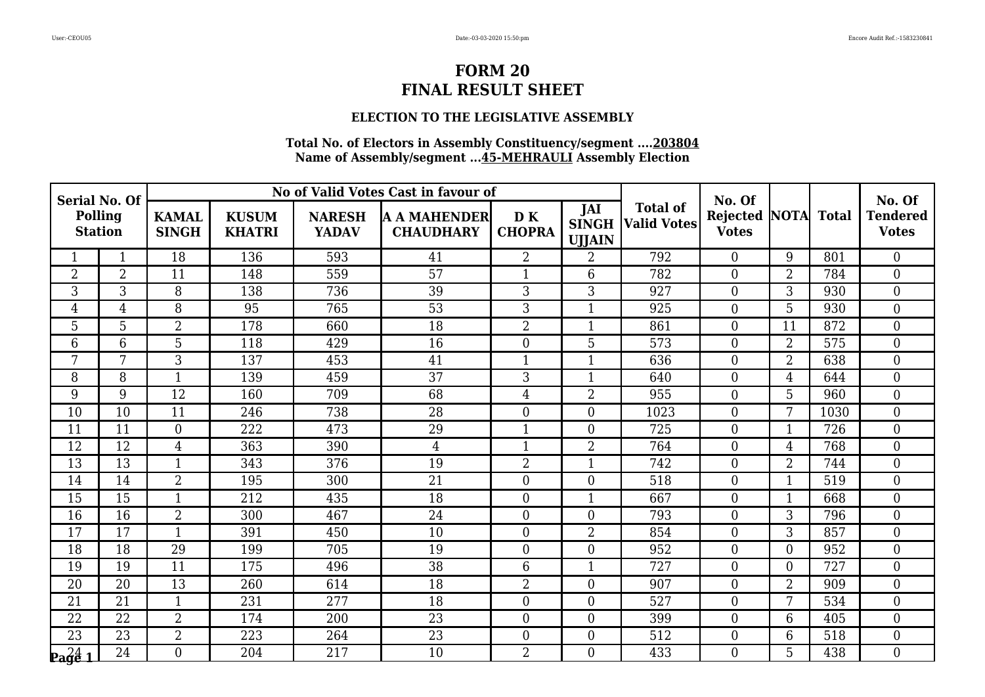## **ELECTION TO THE LEGISLATIVE ASSEMBLY**

| <b>Serial No. Of</b>        |                                  |                |                               |                               | No of Valid Votes Cast in favour of     |                     |                                      |                                       | No. Of                          |                   |      | No. Of                          |
|-----------------------------|----------------------------------|----------------|-------------------------------|-------------------------------|-----------------------------------------|---------------------|--------------------------------------|---------------------------------------|---------------------------------|-------------------|------|---------------------------------|
|                             | <b>Polling</b><br><b>Station</b> |                | <b>KUSUM</b><br><b>KHATRI</b> | <b>NARESH</b><br><b>YADAV</b> | <b>A A MAHENDER</b><br><b>CHAUDHARY</b> | DK<br><b>CHOPRA</b> | JAI<br><b>SINGH</b><br><b>UJJAIN</b> | <b>Total of</b><br><b>Valid Votes</b> | <b>Rejected</b><br><b>Votes</b> | <b>NOTA</b> Total |      | <b>Tendered</b><br><b>Votes</b> |
|                             | 1                                | 18             | 136                           | 593                           | 41                                      | $\overline{2}$      | $\overline{2}$                       | 792                                   | $\Omega$                        | 9                 | 801  | $\theta$                        |
| 2                           | 2                                | 11             | 148                           | 559                           | 57                                      | $\mathbf{1}$        | 6                                    | 782                                   | $\overline{0}$                  | $\overline{2}$    | 784  | $\boldsymbol{0}$                |
| 3                           | $\overline{3}$                   | 8              | 138                           | 736                           | 39                                      | $\overline{3}$      | $\overline{3}$                       | 927                                   | $\overline{0}$                  | $\overline{3}$    | 930  | $\boldsymbol{0}$                |
| 4                           | $\overline{4}$                   | 8              | 95                            | 765                           | 53                                      | 3                   | $\mathbf{1}$                         | 925                                   | $\overline{0}$                  | 5                 | 930  | $\boldsymbol{0}$                |
| 5                           | 5                                | $\overline{2}$ | 178                           | 660                           | $\overline{18}$                         | $\overline{2}$      | $\mathbf{1}$                         | 861                                   | $\overline{0}$                  | 11                | 872  | $\boldsymbol{0}$                |
| 6                           | 6                                | 5              | 118                           | 429                           | 16                                      | $\boldsymbol{0}$    | 5                                    | 573                                   | $\overline{0}$                  | $\overline{2}$    | 575  | $\boldsymbol{0}$                |
| 7                           | 7                                | 3              | 137                           | 453                           | 41                                      | $\mathbf{1}$        | $\mathbf{1}$                         | 636                                   | $\overline{0}$                  | $\overline{2}$    | 638  | $\boldsymbol{0}$                |
| 8                           | 8                                | $\mathbf{1}$   | 139                           | 459                           | 37                                      | 3                   | $\mathbf{1}$                         | 640                                   | $\overline{0}$                  | $\overline{4}$    | 644  | $\boldsymbol{0}$                |
| 9                           | 9                                | 12             | 160                           | 709                           | 68                                      | $\overline{4}$      | $\overline{2}$                       | 955                                   | $\overline{0}$                  | 5                 | 960  | $\boldsymbol{0}$                |
| 10                          | 10                               | 11             | 246                           | 738                           | 28                                      | $\boldsymbol{0}$    | $\overline{0}$                       | 1023                                  | $\overline{0}$                  | 7                 | 1030 | $\overline{0}$                  |
| 11                          | 11                               | $\overline{0}$ | 222                           | 473                           | 29                                      | $\mathbf{1}$        | $\overline{0}$                       | 725                                   | $\overline{0}$                  | $\mathbf{1}$      | 726  | $\boldsymbol{0}$                |
| 12                          | 12                               | $\overline{4}$ | 363                           | 390                           | $\overline{4}$                          | $\mathbf{1}$        | $\overline{2}$                       | 764                                   | $\overline{0}$                  | $\overline{4}$    | 768  | $\mathbf{0}$                    |
| 13                          | 13                               | $\mathbf{1}$   | 343                           | 376                           | 19                                      | $\overline{2}$      | $\mathbf{1}$                         | 742                                   | $\overline{0}$                  | $\overline{2}$    | 744  | $\boldsymbol{0}$                |
| 14                          | 14                               | $\overline{2}$ | 195                           | 300                           | 21                                      | $\boldsymbol{0}$    | $\mathbf{0}$                         | 518                                   | $\overline{0}$                  | $\mathbf{1}$      | 519  | $\overline{0}$                  |
| 15                          | $\overline{15}$                  | $\overline{1}$ | 212                           | 435                           | 18                                      | $\boldsymbol{0}$    | $\overline{1}$                       | 667                                   | $\overline{0}$                  | $\mathbf{1}$      | 668  | $\mathbf{0}$                    |
| 16                          | 16                               | $\overline{2}$ | 300                           | 467                           | 24                                      | $\boldsymbol{0}$    | $\overline{0}$                       | 793                                   | $\overline{0}$                  | 3                 | 796  | $\boldsymbol{0}$                |
| 17                          | 17                               | $\mathbf{1}$   | 391                           | 450                           | 10                                      | $\boldsymbol{0}$    | $\overline{2}$                       | 854                                   | $\overline{0}$                  | 3                 | 857  | $\boldsymbol{0}$                |
| 18                          | $\overline{18}$                  | 29             | 199                           | 705                           | 19                                      | $\boldsymbol{0}$    | $\boldsymbol{0}$                     | 952                                   | $\overline{0}$                  | $\overline{0}$    | 952  | $\overline{0}$                  |
| 19                          | 19                               | 11             | 175                           | 496                           | $\overline{38}$                         | 6                   | $\mathbf{1}$                         | 727                                   | $\overline{0}$                  | $\overline{0}$    | 727  | $\overline{0}$                  |
| 20                          | 20                               | 13             | 260                           | 614                           | 18                                      | $\overline{2}$      | $\overline{0}$                       | 907                                   | $\overline{0}$                  | $\overline{2}$    | 909  | $\boldsymbol{0}$                |
| 21                          | 21                               | $\mathbf{1}$   | 231                           | 277                           | 18                                      | $\overline{0}$      | $\mathbf{0}$                         | 527                                   | $\overline{0}$                  | 7                 | 534  | $\overline{0}$                  |
| 22                          | 22                               | $\overline{2}$ | 174                           | 200                           | 23                                      | $\boldsymbol{0}$    | $\overline{0}$                       | 399                                   | $\overline{0}$                  | 6                 | 405  | $\boldsymbol{0}$                |
| 23                          | $\overline{23}$                  | $\overline{2}$ | 223                           | 264                           | 23                                      | $\boldsymbol{0}$    | $\boldsymbol{0}$                     | 512                                   | $\overline{0}$                  | 6                 | 518  | $\boldsymbol{0}$                |
| $\mathbf{p_3} \mathbf{q_4}$ | 24                               | $\overline{0}$ | 204                           | 217                           | 10                                      | $\overline{2}$      | $\overline{0}$                       | 433                                   | $\Omega$                        | 5                 | 438  | $\overline{0}$                  |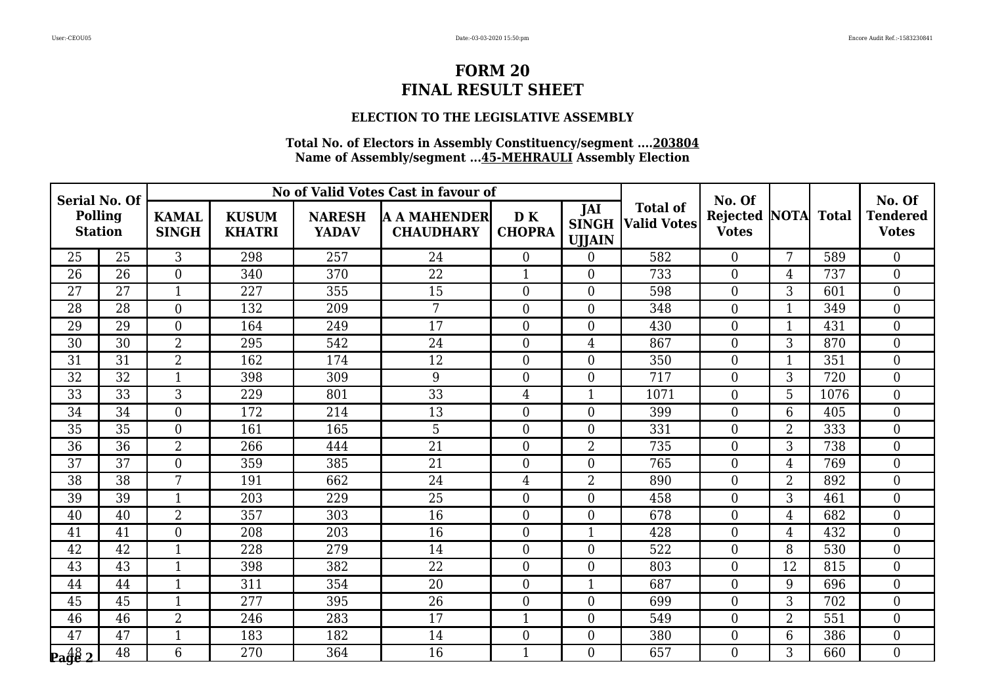## **ELECTION TO THE LEGISLATIVE ASSEMBLY**

| <b>Serial No. Of</b><br><b>Polling</b><br><b>Station</b> |                 |                              |                               |                               | No of Valid Votes Cast in favour of     |                     |                                      |                                       | No. Of                          |                |              | No. Of                          |
|----------------------------------------------------------|-----------------|------------------------------|-------------------------------|-------------------------------|-----------------------------------------|---------------------|--------------------------------------|---------------------------------------|---------------------------------|----------------|--------------|---------------------------------|
|                                                          |                 | <b>KAMAL</b><br><b>SINGH</b> | <b>KUSUM</b><br><b>KHATRI</b> | <b>NARESH</b><br><b>YADAV</b> | <b>A A MAHENDER</b><br><b>CHAUDHARY</b> | DK<br><b>CHOPRA</b> | JAI<br><b>SINGH</b><br><b>UJJAIN</b> | <b>Total of</b><br><b>Valid Votes</b> | <b>Rejected</b><br><b>Votes</b> | NOTA           | <b>Total</b> | <b>Tendered</b><br><b>Votes</b> |
| 25                                                       | 25              | 3                            | 298                           | 257                           | 24                                      | $\overline{0}$      | $\overline{0}$                       | 582                                   | $\Omega$                        | 7              | 589          | $\overline{0}$                  |
| 26                                                       | 26              | $\overline{0}$               | 340                           | 370                           | 22                                      | 1                   | $\overline{0}$                       | 733                                   | $\boldsymbol{0}$                | 4              | 737          | $\overline{0}$                  |
| 27                                                       | 27              | $\mathbf{1}$                 | 227                           | 355                           | 15                                      | $\overline{0}$      | $\boldsymbol{0}$                     | 598                                   | $\boldsymbol{0}$                | 3              | 601          | $\boldsymbol{0}$                |
| 28                                                       | 28              | $\overline{0}$               | 132                           | 209                           | 7                                       | $\overline{0}$      | $\theta$                             | 348                                   | $\overline{0}$                  | $\mathbf{1}$   | 349          | $\overline{0}$                  |
| 29                                                       | 29              | $\overline{0}$               | 164                           | 249                           | 17                                      | $\overline{0}$      | $\overline{0}$                       | 430                                   | $\boldsymbol{0}$                | $\mathbf{1}$   | 431          | $\overline{0}$                  |
| 30                                                       | 30              | $\overline{2}$               | 295                           | 542                           | 24                                      | $\overline{0}$      | $\overline{4}$                       | 867                                   | $\boldsymbol{0}$                | 3              | 870          | $\overline{0}$                  |
| 31                                                       | 31              | $\overline{2}$               | 162                           | 174                           | 12                                      | $\overline{0}$      | $\theta$                             | 350                                   | $\overline{0}$                  | $\mathbf{1}$   | 351          | $\overline{0}$                  |
| 32                                                       | 32              | $\mathbf{1}$                 | 398                           | 309                           | 9                                       | $\overline{0}$      | $\overline{0}$                       | 717                                   | $\boldsymbol{0}$                | 3              | 720          | $\overline{0}$                  |
| 33                                                       | $\overline{33}$ | $\overline{3}$               | 229                           | 801                           | 33                                      | $\overline{4}$      | $\overline{1}$                       | 1071                                  | $\boldsymbol{0}$                | 5              | 1076         | $\overline{0}$                  |
| 34                                                       | 34              | $\overline{0}$               | 172                           | 214                           | 13                                      | $\overline{0}$      | $\theta$                             | 399                                   | $\Omega$                        | 6              | 405          | $\overline{0}$                  |
| 35                                                       | 35              | $\overline{0}$               | 161                           | 165                           | 5                                       | $\overline{0}$      | $\overline{0}$                       | 331                                   | $\boldsymbol{0}$                | $\overline{2}$ | 333          | $\overline{0}$                  |
| 36                                                       | 36              | $\overline{2}$               | 266                           | 444                           | 21                                      | $\overline{0}$      | $\overline{2}$                       | 735                                   | $\boldsymbol{0}$                | 3              | 738          | $\overline{0}$                  |
| 37                                                       | 37              | $\overline{0}$               | 359                           | 385                           | 21                                      | $\overline{0}$      | $\overline{0}$                       | 765                                   | $\boldsymbol{0}$                | 4              | 769          | $\boldsymbol{0}$                |
| 38                                                       | 38              | 7                            | 191                           | 662                           | 24                                      | $\overline{4}$      | $\overline{2}$                       | 890                                   | $\overline{0}$                  | $\overline{2}$ | 892          | $\overline{0}$                  |
| 39                                                       | 39              | $\mathbf{1}$                 | 203                           | 229                           | 25                                      | $\overline{0}$      | $\overline{0}$                       | 458                                   | $\overline{0}$                  | 3              | 461          | $\overline{0}$                  |
| 40                                                       | 40              | $\overline{2}$               | 357                           | 303                           | 16                                      | $\overline{0}$      | $\overline{0}$                       | 678                                   | $\boldsymbol{0}$                | 4              | 682          | $\overline{0}$                  |
| 41                                                       | 41              | $\overline{0}$               | 208                           | 203                           | 16                                      | $\overline{0}$      | $\mathbf 1$                          | 428                                   | $\boldsymbol{0}$                | $\overline{4}$ | 432          | $\boldsymbol{0}$                |
| $\overline{42}$                                          | 42              | $\mathbf{1}$                 | 228                           | 279                           | 14                                      | $\overline{0}$      | $\mathbf{0}$                         | 522                                   | $\overline{0}$                  | 8              | 530          | $\overline{0}$                  |
| 43                                                       | 43              | $\mathbf{1}$                 | 398                           | 382                           | 22                                      | $\overline{0}$      | $\theta$                             | 803                                   | $\overline{0}$                  | 12             | 815          | $\overline{0}$                  |
| 44                                                       | 44              | $\mathbf{1}$                 | 311                           | 354                           | 20                                      | $\overline{0}$      | $\mathbf{1}$                         | 687                                   | $\boldsymbol{0}$                | 9              | 696          | $\overline{0}$                  |
| 45                                                       | 45              | $\mathbf{1}$                 | 277                           | 395                           | 26                                      | $\overline{0}$      | $\theta$                             | 699                                   | $\overline{0}$                  | 3              | 702          | $\overline{0}$                  |
| 46                                                       | 46              | $\overline{2}$               | 246                           | 283                           | 17                                      | 1                   | $\overline{0}$                       | 549                                   | $\boldsymbol{0}$                | 2              | 551          | $\boldsymbol{0}$                |
| 47                                                       | 47              | $\mathbf{1}$                 | 183                           | 182                           | 14                                      | $\overline{0}$      | $\overline{0}$                       | 380                                   | $\boldsymbol{0}$                | $6\phantom{1}$ | 386          | $\boldsymbol{0}$                |
| $\frac{48}{2}$                                           | 48              | 6                            | 270                           | 364                           | 16                                      | 1                   | $\Omega$                             | 657                                   | $\Omega$                        | 3              | 660          | $\overline{0}$                  |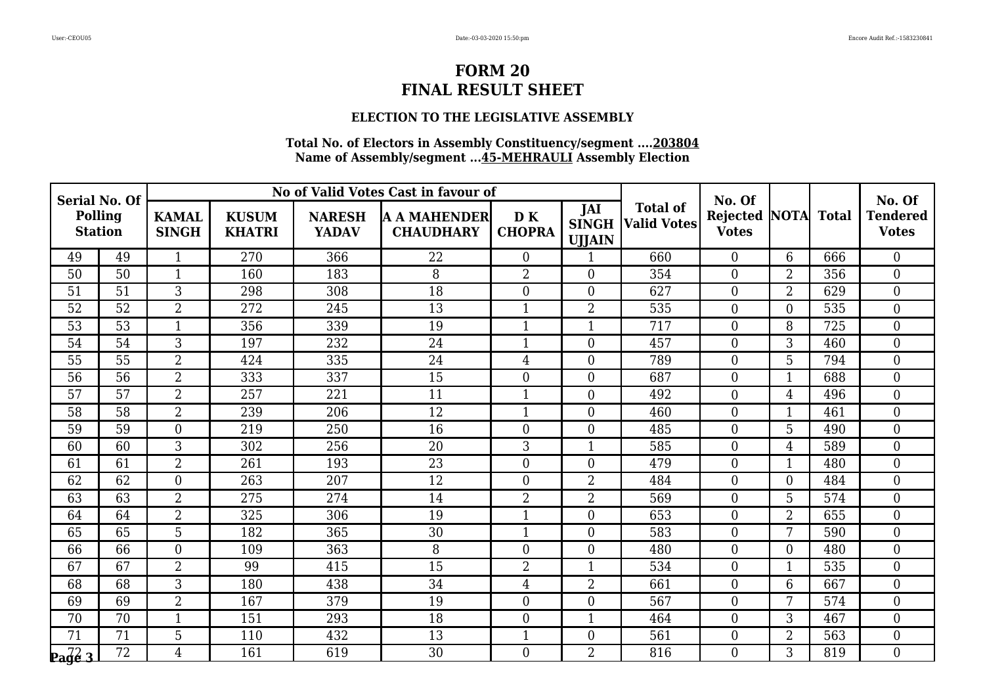## **ELECTION TO THE LEGISLATIVE ASSEMBLY**

| <b>Serial No. Of</b>  |                                  |                |                               |                               | No of Valid Votes Cast in favour of     |                     |                                      |                                       | No. Of                                     |                |     | No. Of<br><b>Tendered</b><br><b>Votes</b> |
|-----------------------|----------------------------------|----------------|-------------------------------|-------------------------------|-----------------------------------------|---------------------|--------------------------------------|---------------------------------------|--------------------------------------------|----------------|-----|-------------------------------------------|
|                       | <b>Polling</b><br><b>Station</b> |                | <b>KUSUM</b><br><b>KHATRI</b> | <b>NARESH</b><br><b>YADAV</b> | <b>A A MAHENDER</b><br><b>CHAUDHARY</b> | DK<br><b>CHOPRA</b> | JAI<br><b>SINGH</b><br><b>UJJAIN</b> | <b>Total of</b><br><b>Valid Votes</b> | <b>Rejected NOTA Total</b><br><b>Votes</b> |                |     |                                           |
| 49                    | 49                               | $\mathbf{1}$   | 270                           | 366                           | 22                                      | $\overline{0}$      | 1                                    | 660                                   | $\overline{0}$                             | 6              | 666 | $\overline{0}$                            |
| 50                    | 50                               | $\mathbf{1}$   | 160                           | 183                           | 8                                       | $\overline{2}$      | $\overline{0}$                       | 354                                   | $\overline{0}$                             | $\overline{2}$ | 356 | $\boldsymbol{0}$                          |
| 51                    | 51                               | 3              | 298                           | 308                           | 18                                      | $\boldsymbol{0}$    | $\boldsymbol{0}$                     | 627                                   | $\overline{0}$                             | $\overline{2}$ | 629 | $\boldsymbol{0}$                          |
| 52                    | 52                               | $\overline{2}$ | 272                           | 245                           | 13                                      | $\mathbf{1}$        | $\overline{2}$                       | 535                                   | $\overline{0}$                             | $\overline{0}$ | 535 | $\overline{0}$                            |
| 53                    | 53                               | $\mathbf{1}$   | 356                           | 339                           | 19                                      | $\mathbf{1}$        | $\mathbf{1}$                         | 717                                   | $\overline{0}$                             | 8              | 725 | $\boldsymbol{0}$                          |
| 54                    | 54                               | 3              | 197                           | 232                           | 24                                      | $\mathbf{1}$        | $\boldsymbol{0}$                     | 457                                   | $\overline{0}$                             | 3              | 460 | $\boldsymbol{0}$                          |
| 55                    | 55                               | $\overline{2}$ | 424                           | 335                           | 24                                      | $\overline{4}$      | $\overline{0}$                       | 789                                   | $\overline{0}$                             | 5              | 794 | $\boldsymbol{0}$                          |
| 56                    | 56                               | $\overline{2}$ | 333                           | 337                           | 15                                      | $\overline{0}$      | $\mathbf{0}$                         | 687                                   | $\overline{0}$                             | $\mathbf{1}$   | 688 | $\overline{0}$                            |
| 57                    | $\overline{57}$                  | $\overline{2}$ | 257                           | 221                           | 11                                      | $\mathbf{1}$        | $\boldsymbol{0}$                     | 492                                   | $\overline{0}$                             | $\overline{4}$ | 496 | $\boldsymbol{0}$                          |
| 58                    | 58                               | $\overline{2}$ | 239                           | 206                           | 12                                      | $\mathbf{1}$        | $\overline{0}$                       | 460                                   | $\overline{0}$                             | $\mathbf{1}$   | 461 | $\boldsymbol{0}$                          |
| 59                    | 59                               | $\overline{0}$ | 219                           | 250                           | 16                                      | $\boldsymbol{0}$    | $\boldsymbol{0}$                     | 485                                   | $\overline{0}$                             | 5              | 490 | $\boldsymbol{0}$                          |
| 60                    | 60                               | $\overline{3}$ | 302                           | 256                           | 20                                      | $\overline{3}$      | $\overline{1}$                       | 585                                   | $\overline{0}$                             | $\overline{4}$ | 589 | $\overline{0}$                            |
| 61                    | 61                               | $\overline{2}$ | 261                           | 193                           | 23                                      | $\boldsymbol{0}$    | $\mathbf{0}$                         | 479                                   | $\overline{0}$                             | $\mathbf{1}$   | 480 | $\boldsymbol{0}$                          |
| 62                    | 62                               | $\overline{0}$ | 263                           | 207                           | 12                                      | $\boldsymbol{0}$    | $\overline{2}$                       | 484                                   | $\overline{0}$                             | $\overline{0}$ | 484 | $\boldsymbol{0}$                          |
| 63                    | 63                               | $\overline{2}$ | 275                           | 274                           | 14                                      | $\overline{2}$      | $\overline{2}$                       | 569                                   | $\overline{0}$                             | 5              | 574 | $\boldsymbol{0}$                          |
| 64                    | 64                               | $\overline{2}$ | 325                           | 306                           | 19                                      | $\mathbf{1}$        | $\overline{0}$                       | 653                                   | $\overline{0}$                             | $\overline{2}$ | 655 | $\boldsymbol{0}$                          |
| 65                    | 65                               | 5              | 182                           | 365                           | 30                                      | $\mathbf{1}$        | $\theta$                             | 583                                   | $\overline{0}$                             | 7              | 590 | $\boldsymbol{0}$                          |
| 66                    | 66                               | $\overline{0}$ | 109                           | 363                           | 8                                       | $\boldsymbol{0}$    | $\mathbf{0}$                         | 480                                   | $\overline{0}$                             | $\overline{0}$ | 480 | $\overline{0}$                            |
| 67                    | 67                               | $\overline{2}$ | 99                            | 415                           | 15                                      | $\overline{2}$      | $\mathbf{1}$                         | 534                                   | $\overline{0}$                             | $\mathbf{1}$   | 535 | $\boldsymbol{0}$                          |
| 68                    | 68                               | 3              | 180                           | 438                           | 34                                      | $\overline{4}$      | $\overline{2}$                       | 661                                   | $\overline{0}$                             | 6              | 667 | $\boldsymbol{0}$                          |
| 69                    | 69                               | $\overline{2}$ | 167                           | 379                           | 19                                      | $\overline{0}$      | $\overline{0}$                       | 567                                   | $\overline{0}$                             | 7              | 574 | $\overline{0}$                            |
| 70                    | 70                               | $\mathbf{1}$   | 151                           | 293                           | 18                                      | $\boldsymbol{0}$    | $\mathbf 1$                          | 464                                   | $\overline{0}$                             | 3              | 467 | $\boldsymbol{0}$                          |
| 71                    | 71                               | 5              | 110                           | 432                           | 13                                      | $\mathbf{1}$        | $\boldsymbol{0}$                     | 561                                   | $\overline{0}$                             | $\overline{2}$ | 563 | $\boldsymbol{0}$                          |
| $\sqrt{\frac{72}{9}}$ | $\overline{72}$                  | $\overline{4}$ | 161                           | 619                           | 30                                      | $\overline{0}$      | $\overline{2}$                       | 816                                   | $\Omega$                                   | 3              | 819 | $\overline{0}$                            |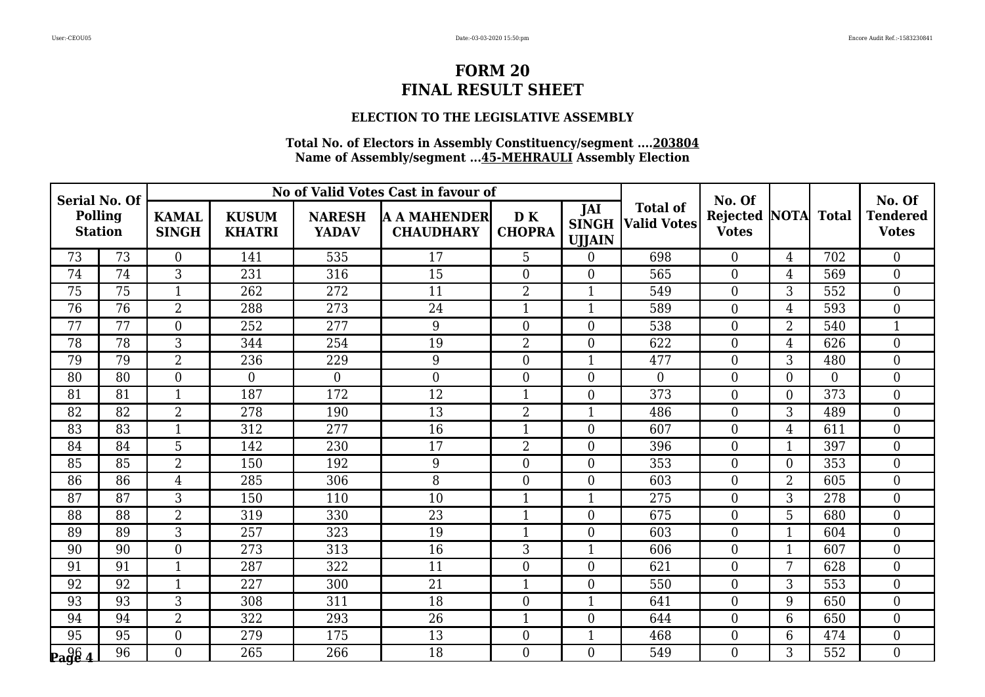## **ELECTION TO THE LEGISLATIVE ASSEMBLY**

| <b>Serial No. Of</b> |                           |                |                               |                               | No of Valid Votes Cast in favour of     |                     |                                      |                                       | No. Of                          |                |                  | No. Of                          |
|----------------------|---------------------------|----------------|-------------------------------|-------------------------------|-----------------------------------------|---------------------|--------------------------------------|---------------------------------------|---------------------------------|----------------|------------------|---------------------------------|
|                      | Polling<br><b>Station</b> |                | <b>KUSUM</b><br><b>KHATRI</b> | <b>NARESH</b><br><b>YADAV</b> | <b>A A MAHENDER</b><br><b>CHAUDHARY</b> | DK<br><b>CHOPRA</b> | JAI<br><b>SINGH</b><br><b>UJJAIN</b> | <b>Total of</b><br><b>Valid Votes</b> | <b>Rejected</b><br><b>Votes</b> | <b>NOTA</b>    | <b>Total</b>     | <b>Tendered</b><br><b>Votes</b> |
| 73                   | 73                        | $\overline{0}$ | 141                           | 535                           | 17                                      | 5                   | $\theta$                             | 698                                   | $\overline{0}$                  | $\overline{4}$ | 702              | $\overline{0}$                  |
| 74                   | 74                        | $\overline{3}$ | 231                           | 316                           | 15                                      | $\overline{0}$      | $\theta$                             | 565                                   | $\overline{0}$                  | $\overline{4}$ | 569              | $\overline{0}$                  |
| 75                   | $\overline{75}$           | $\mathbf{1}$   | 262                           | 272                           | 11                                      | $\overline{2}$      | $\mathbf{1}$                         | 549                                   | $\boldsymbol{0}$                | 3              | 552              | $\overline{0}$                  |
| 76                   | 76                        | $\overline{2}$ | 288                           | 273                           | 24                                      | $\mathbf{1}$        | $\mathbf{1}$                         | 589                                   | $\overline{0}$                  | $\overline{4}$ | 593              | $\overline{0}$                  |
| 77                   | 77                        | $\overline{0}$ | 252                           | 277                           | 9                                       | $\overline{0}$      | $\overline{0}$                       | 538                                   | $\overline{0}$                  | $\overline{2}$ | 540              | $\mathbf{1}$                    |
| 78                   | 78                        | 3              | 344                           | 254                           | 19                                      | $\overline{2}$      | $\mathbf{0}$                         | 622                                   | $\boldsymbol{0}$                | $\overline{4}$ | 626              | $\overline{0}$                  |
| 79                   | 79                        | $\overline{2}$ | 236                           | 229                           | 9                                       | $\overline{0}$      | $\mathbf{1}$                         | 477                                   | $\overline{0}$                  | 3              | 480              | $\overline{0}$                  |
| 80                   | 80                        | $\overline{0}$ | $\overline{0}$                | $\overline{0}$                | $\boldsymbol{0}$                        | $\overline{0}$      | $\overline{0}$                       | $\overline{0}$                        | $\overline{0}$                  | $\overline{0}$ | $\Omega$         | $\overline{0}$                  |
| 81                   | $\overline{81}$           | $\mathbf{1}$   | 187                           | 172                           | $\overline{12}$                         | $\mathbf{1}$        | $\boldsymbol{0}$                     | 373                                   | $\boldsymbol{0}$                | $\overline{0}$ | $\overline{373}$ | $\overline{0}$                  |
| 82                   | 82                        | $\overline{2}$ | 278                           | 190                           | 13                                      | $\overline{2}$      | $\mathbf{1}$                         | 486                                   | $\overline{0}$                  | 3              | 489              | $\overline{0}$                  |
| 83                   | 83                        | $\mathbf{1}$   | 312                           | 277                           | 16                                      | $\mathbf{1}$        | $\theta$                             | 607                                   | $\boldsymbol{0}$                | $\overline{4}$ | 611              | $\overline{0}$                  |
| 84                   | 84                        | $\overline{5}$ | 142                           | 230                           | 17                                      | $\overline{2}$      | $\overline{0}$                       | 396                                   | $\boldsymbol{0}$                | $\mathbf{1}$   | 397              | $\overline{0}$                  |
| 85                   | 85                        | $\overline{2}$ | 150                           | 192                           | 9                                       | $\overline{0}$      | $\theta$                             | 353                                   | $\overline{0}$                  | $\overline{0}$ | 353              | $\overline{0}$                  |
| 86                   | 86                        | 4              | 285                           | 306                           | 8                                       | $\overline{0}$      | $\overline{0}$                       | 603                                   | $\overline{0}$                  | $\overline{2}$ | 605              | $\overline{0}$                  |
| 87                   | 87                        | $\overline{3}$ | 150                           | 110                           | 10                                      | 1                   | $\mathbf{1}$                         | 275                                   | $\boldsymbol{0}$                | 3              | 278              | $\boldsymbol{0}$                |
| 88                   | 88                        | 2              | 319                           | 330                           | 23                                      | 1                   | $\theta$                             | 675                                   | $\overline{0}$                  | 5              | 680              | $\overline{0}$                  |
| 89                   | 89                        | 3              | 257                           | 323                           | 19                                      | 1                   | $\overline{0}$                       | 603                                   | $\overline{0}$                  | $\mathbf{1}$   | 604              | $\overline{0}$                  |
| 90                   | 90                        | $\overline{0}$ | 273                           | 313                           | 16                                      | 3                   | $\mathbf{1}$                         | 606                                   | $\boldsymbol{0}$                | $\mathbf{1}$   | 607              | $\overline{0}$                  |
| 91                   | 91                        | $\mathbf{1}$   | 287                           | 322                           | 11                                      | $\overline{0}$      | $\theta$                             | 621                                   | $\overline{0}$                  | 7              | 628              | $\overline{0}$                  |
| 92                   | 92                        | $\mathbf{1}$   | 227                           | 300                           | 21                                      | $\mathbf{1}$        | $\overline{0}$                       | 550                                   | $\overline{0}$                  | 3              | 553              | $\overline{0}$                  |
| 93                   | 93                        | 3              | 308                           | 311                           | 18                                      | $\boldsymbol{0}$    | $\overline{1}$                       | 641                                   | $\boldsymbol{0}$                | 9              | 650              | $\boldsymbol{0}$                |
| 94                   | 94                        | $\overline{2}$ | 322                           | 293                           | 26                                      | $\mathbf{1}$        | $\theta$                             | 644                                   | $\overline{0}$                  | 6              | 650              | $\overline{0}$                  |
| 95                   | 95                        | $\overline{0}$ | 279                           | 175                           | 13                                      | $\overline{0}$      | $\mathbf{1}$                         | 468                                   | $\overline{0}$                  | 6              | 474              | $\overline{0}$                  |
| $\log \frac{96}{4}$  | 96                        | $\overline{0}$ | 265                           | 266                           | 18                                      | $\overline{0}$      | $\overline{0}$                       | 549                                   | $\boldsymbol{0}$                | 3              | 552              | $\overline{0}$                  |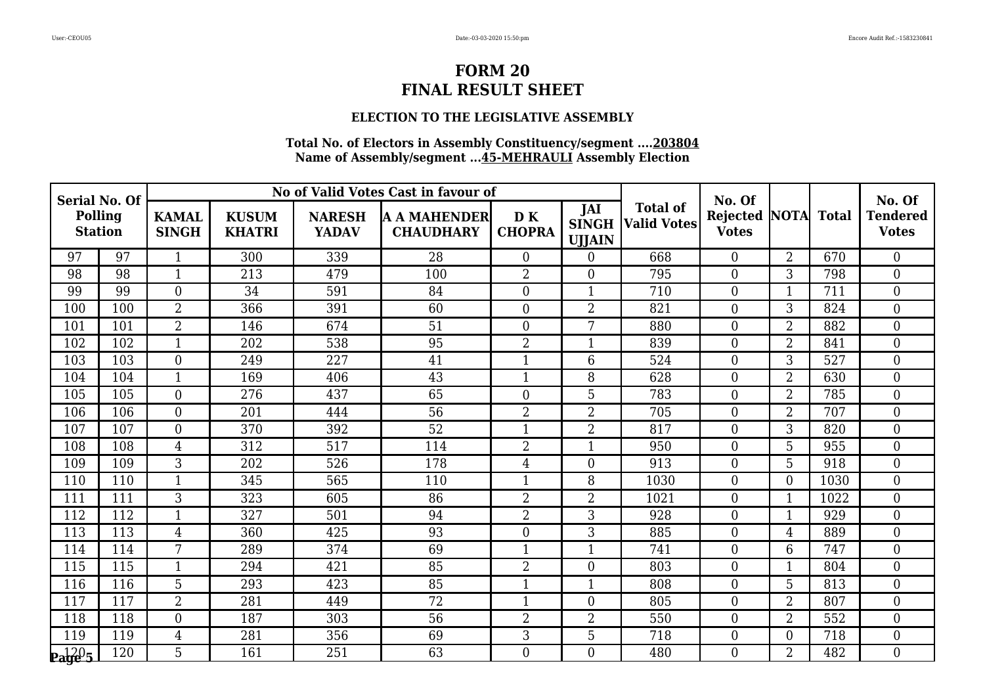## **ELECTION TO THE LEGISLATIVE ASSEMBLY**

| <b>Serial No. Of</b>           |                                  |                |                               |                               | No of Valid Votes Cast in favour of     |                      |                                      |                                       | No. Of                          |                   |      | No. Of<br><b>Tendered</b><br><b>Votes</b> |
|--------------------------------|----------------------------------|----------------|-------------------------------|-------------------------------|-----------------------------------------|----------------------|--------------------------------------|---------------------------------------|---------------------------------|-------------------|------|-------------------------------------------|
|                                | <b>Polling</b><br><b>Station</b> |                | <b>KUSUM</b><br><b>KHATRI</b> | <b>NARESH</b><br><b>YADAV</b> | <b>A A MAHENDER</b><br><b>CHAUDHARY</b> | D K<br><b>CHOPRA</b> | JAI<br><b>SINGH</b><br><b>UJJAIN</b> | <b>Total of</b><br><b>Valid Votes</b> | <b>Rejected</b><br><b>Votes</b> | <b>NOTA</b> Total |      |                                           |
| 97                             | 97                               | $\mathbf{1}$   | 300                           | 339                           | 28                                      | $\overline{0}$       | $\theta$                             | 668                                   | $\overline{0}$                  | $\overline{2}$    | 670  | $\theta$                                  |
| 98                             | 98                               | $\mathbf{1}$   | 213                           | 479                           | 100                                     | $\overline{2}$       | $\overline{0}$                       | 795                                   | $\overline{0}$                  | 3                 | 798  | $\boldsymbol{0}$                          |
| 99                             | 99                               | $\overline{0}$ | 34                            | 591                           | 84                                      | $\boldsymbol{0}$     | $\mathbf{1}$                         | 710                                   | $\boldsymbol{0}$                | $\mathbf{1}$      | 711  | $\boldsymbol{0}$                          |
| 100                            | 100                              | 2              | 366                           | 391                           | 60                                      | $\boldsymbol{0}$     | $\overline{2}$                       | 821                                   | $\overline{0}$                  | 3                 | 824  | $\boldsymbol{0}$                          |
| 101                            | 101                              | $\overline{2}$ | 146                           | 674                           | $\overline{51}$                         | $\overline{0}$       | 7                                    | 880                                   | $\overline{0}$                  | $\overline{2}$    | 882  | $\overline{0}$                            |
| 102                            | 102                              | $\mathbf{1}$   | 202                           | 538                           | 95                                      | $\overline{2}$       | $\mathbf{1}$                         | 839                                   | $\overline{0}$                  | $\overline{2}$    | 841  | $\boldsymbol{0}$                          |
| 103                            | 103                              | $\overline{0}$ | 249                           | 227                           | 41                                      | $\mathbf{1}$         | 6                                    | 524                                   | $\Omega$                        | 3                 | 527  | $\boldsymbol{0}$                          |
| 104                            | 104                              | $\mathbf{1}$   | 169                           | 406                           | 43                                      | $\mathbf{1}$         | 8                                    | 628                                   | $\overline{0}$                  | $\overline{2}$    | 630  | $\boldsymbol{0}$                          |
| 105                            | 105                              | $\overline{0}$ | 276                           | 437                           | 65                                      | $\overline{0}$       | 5                                    | 783                                   | $\boldsymbol{0}$                | 2                 | 785  | $\boldsymbol{0}$                          |
| 106                            | 106                              | $\overline{0}$ | 201                           | 444                           | 56                                      | $\overline{2}$       | $\overline{2}$                       | 705                                   | $\overline{0}$                  | $\overline{2}$    | 707  | $\overline{0}$                            |
| 107                            | 107                              | $\overline{0}$ | 370                           | 392                           | 52                                      | $\mathbf{1}$         | $\overline{2}$                       | 817                                   | $\overline{0}$                  | 3                 | 820  | $\overline{0}$                            |
| 108                            | 108                              | $\overline{4}$ | 312                           | 517                           | 114                                     | $\overline{2}$       | $\mathbf{1}$                         | 950                                   | $\boldsymbol{0}$                | 5                 | 955  | $\boldsymbol{0}$                          |
| 109                            | 109                              | 3              | 202                           | 526                           | 178                                     | 4                    | $\overline{0}$                       | 913                                   | $\overline{0}$                  | 5                 | 918  | $\boldsymbol{0}$                          |
| 110                            | 110                              | $\mathbf{1}$   | 345                           | 565                           | 110                                     | $\mathbf{1}$         | 8                                    | 1030                                  | $\overline{0}$                  | $\overline{0}$    | 1030 | $\overline{0}$                            |
| 111                            | 111                              | $\overline{3}$ | 323                           | 605                           | 86                                      | $\overline{2}$       | $\overline{2}$                       | 1021                                  | $\overline{0}$                  | $\mathbf{1}$      | 1022 | $\overline{0}$                            |
| 112                            | 112                              | $\mathbf{1}$   | 327                           | 501                           | 94                                      | $\overline{2}$       | 3                                    | 928                                   | $\overline{0}$                  | 1                 | 929  | $\boldsymbol{0}$                          |
| 113                            | 113                              | $\overline{4}$ | 360                           | 425                           | 93                                      | $\boldsymbol{0}$     | 3                                    | 885                                   | $\overline{0}$                  | 4                 | 889  | $\boldsymbol{0}$                          |
| 114                            | 114                              | 7              | 289                           | 374                           | 69                                      | $\mathbf{1}$         | $\mathbf{1}$                         | 741                                   | $\overline{0}$                  | 6                 | 747  | $\overline{0}$                            |
| 115                            | 115                              | $\mathbf{1}$   | 294                           | 421                           | 85                                      | $\overline{2}$       | $\overline{0}$                       | 803                                   | $\overline{0}$                  | $\mathbf{1}$      | 804  | $\overline{0}$                            |
| 116                            | 116                              | 5              | 293                           | 423                           | 85                                      | $\mathbf{1}$         | $\mathbf{1}$                         | 808                                   | $\overline{0}$                  | 5                 | 813  | $\boldsymbol{0}$                          |
| 117                            | 117                              | $\overline{2}$ | 281                           | 449                           | 72                                      | $\mathbf{1}$         | $\overline{0}$                       | 805                                   | $\theta$                        | $\overline{2}$    | 807  | $\theta$                                  |
| 118                            | 118                              | $\overline{0}$ | 187                           | 303                           | 56                                      | 2                    | 2                                    | 550                                   | $\overline{0}$                  | 2                 | 552  | $\boldsymbol{0}$                          |
| 119                            | 119                              | $\overline{4}$ | 281                           | 356                           | 69                                      | 3                    | 5                                    | 718                                   | $\overline{0}$                  | $\boldsymbol{0}$  | 718  | $\boldsymbol{0}$                          |
| $\mathbf{p}_{\mathbf{a}}$ ge 5 | 120                              | 5              | 161                           | 251                           | 63                                      | $\overline{0}$       | $\overline{0}$                       | 480                                   | $\Omega$                        | $\overline{2}$    | 482  | $\overline{0}$                            |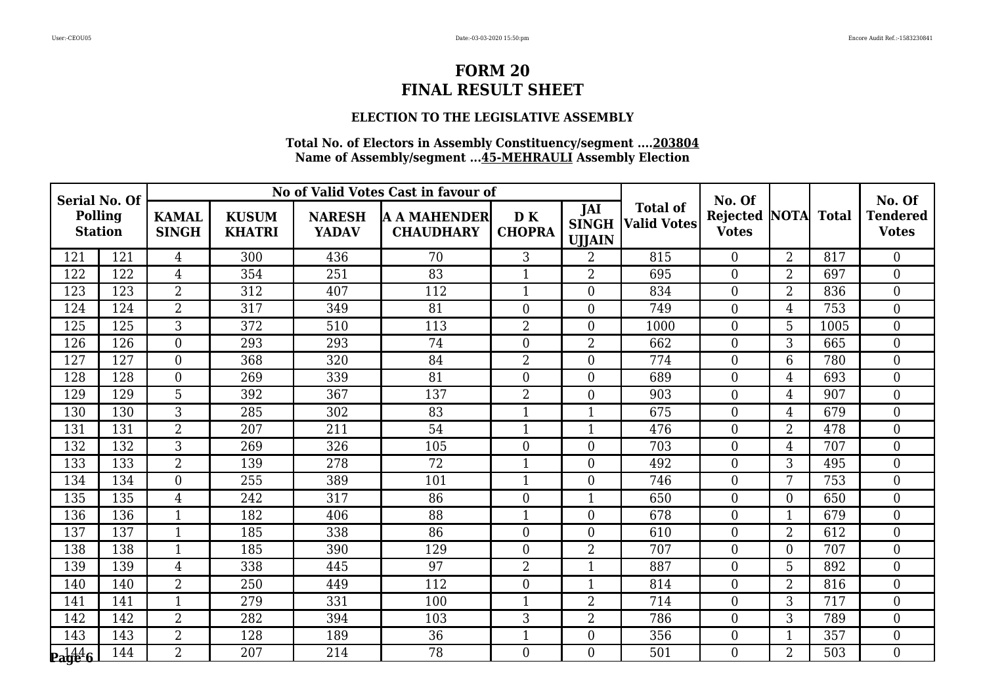## **ELECTION TO THE LEGISLATIVE ASSEMBLY**

| <b>Serial No. Of</b>                                  |                                  |                |                               |                               | No of Valid Votes Cast in favour of     |                     |                                      |                                       | No. Of                              |                |      | No. Of                          |
|-------------------------------------------------------|----------------------------------|----------------|-------------------------------|-------------------------------|-----------------------------------------|---------------------|--------------------------------------|---------------------------------------|-------------------------------------|----------------|------|---------------------------------|
|                                                       | <b>Polling</b><br><b>Station</b> |                | <b>KUSUM</b><br><b>KHATRI</b> | <b>NARESH</b><br><b>YADAV</b> | <b>A A MAHENDER</b><br><b>CHAUDHARY</b> | DK<br><b>CHOPRA</b> | JAI<br><b>SINGH</b><br><b>UJJAIN</b> | <b>Total of</b><br><b>Valid Votes</b> | Rejected NOTA Total<br><b>Votes</b> |                |      | <b>Tendered</b><br><b>Votes</b> |
| 121                                                   | 121                              | $\overline{4}$ | 300                           | 436                           | 70                                      | 3                   | $\overline{2}$                       | 815                                   | $\Omega$                            | $\overline{2}$ | 817  | $\overline{0}$                  |
| 122                                                   | 122                              | $\overline{4}$ | 354                           | 251                           | 83                                      | $\mathbf{1}$        | 2                                    | 695                                   | $\overline{0}$                      | $\overline{2}$ | 697  | $\overline{0}$                  |
| 123                                                   | 123                              | $\overline{2}$ | 312                           | 407                           | 112                                     | $\mathbf{1}$        | $\overline{0}$                       | 834                                   | $\boldsymbol{0}$                    | $\overline{2}$ | 836  | $\boldsymbol{0}$                |
| 124                                                   | 124                              | $\overline{2}$ | 317                           | 349                           | 81                                      | $\overline{0}$      | $\overline{0}$                       | 749                                   | $\overline{0}$                      | $\overline{4}$ | 753  | $\overline{0}$                  |
| 125                                                   | 125                              | 3              | 372                           | 510                           | 113                                     | $\overline{2}$      | $\theta$                             | 1000                                  | $\theta$                            | 5              | 1005 | $\overline{0}$                  |
| 126                                                   | 126                              | $\overline{0}$ | 293                           | 293                           | 74                                      | $\overline{0}$      | $\overline{2}$                       | 662                                   | $\boldsymbol{0}$                    | 3              | 665  | $\boldsymbol{0}$                |
| 127                                                   | 127                              | $\overline{0}$ | 368                           | 320                           | 84                                      | $\overline{2}$      | $\overline{0}$                       | 774                                   | $\overline{0}$                      | 6              | 780  | $\boldsymbol{0}$                |
| 128                                                   | 128                              | $\overline{0}$ | 269                           | 339                           | 81                                      | $\overline{0}$      | $\theta$                             | 689                                   | $\theta$                            | $\overline{4}$ | 693  | $\overline{0}$                  |
| 129                                                   | 129                              | $\overline{5}$ | 392                           | 367                           | 137                                     | $\overline{2}$      | $\overline{0}$                       | 903                                   | $\overline{0}$                      | $\overline{4}$ | 907  | $\boldsymbol{0}$                |
| 130                                                   | 130                              | 3              | 285                           | 302                           | 83                                      | $\mathbf{1}$        | $\mathbf{1}$                         | 675                                   | $\overline{0}$                      | $\overline{4}$ | 679  | $\boldsymbol{0}$                |
| 131                                                   | 131                              | $\overline{2}$ | 207                           | 211                           | 54                                      | $\mathbf{1}$        | 1                                    | 476                                   | $\overline{0}$                      | $\overline{2}$ | 478  | $\boldsymbol{0}$                |
| 132                                                   | 132                              | $\overline{3}$ | 269                           | 326                           | 105                                     | $\overline{0}$      | $\theta$                             | 703                                   | $\theta$                            | $\overline{4}$ | 707  | $\overline{0}$                  |
| 133                                                   | 133                              | $\overline{2}$ | 139                           | 278                           | 72                                      | $\mathbf{1}$        | $\overline{0}$                       | 492                                   | $\overline{0}$                      | 3              | 495  | $\boldsymbol{0}$                |
| 134                                                   | 134                              | $\overline{0}$ | 255                           | 389                           | 101                                     | $\mathbf{1}$        | $\overline{0}$                       | 746                                   | $\overline{0}$                      | 7              | 753  | $\boldsymbol{0}$                |
| 135                                                   | 135                              | $\overline{4}$ | 242                           | 317                           | 86                                      | $\overline{0}$      | $\mathbf{1}$                         | 650                                   | $\overline{0}$                      | $\overline{0}$ | 650  | $\boldsymbol{0}$                |
| 136                                                   | 136                              | $\mathbf{1}$   | 182                           | 406                           | 88                                      | $\mathbf{1}$        | $\theta$                             | 678                                   | $\overline{0}$                      | 1              | 679  | $\boldsymbol{0}$                |
| 137                                                   | 137                              | $\mathbf{1}$   | 185                           | 338                           | 86                                      | $\overline{0}$      | $\overline{0}$                       | 610                                   | $\overline{0}$                      | $\overline{2}$ | 612  | $\boldsymbol{0}$                |
| 138                                                   | 138                              | $\mathbf{1}$   | 185                           | 390                           | 129                                     | $\overline{0}$      | $\overline{2}$                       | 707                                   | $\theta$                            | $\overline{0}$ | 707  | $\overline{0}$                  |
| 139                                                   | 139                              | $\overline{4}$ | 338                           | 445                           | 97                                      | $\overline{2}$      | $\mathbf{1}$                         | 887                                   | $\overline{0}$                      | 5              | 892  | $\boldsymbol{0}$                |
| 140                                                   | 140                              | $\overline{2}$ | 250                           | 449                           | 112                                     | $\overline{0}$      | $\mathbf{1}$                         | 814                                   | $\overline{0}$                      | $\overline{2}$ | 816  | $\overline{0}$                  |
| 141                                                   | 141                              | $\mathbf{1}$   | 279                           | 331                           | 100                                     | $\mathbf{1}$        | $\overline{2}$                       | 714                                   | $\theta$                            | 3              | 717  | $\overline{0}$                  |
| 142                                                   | 142                              | $\overline{2}$ | 282                           | 394                           | 103                                     | 3                   | 2                                    | 786                                   | $\overline{0}$                      | 3              | 789  | $\boldsymbol{0}$                |
| 143                                                   | 143                              | $\overline{2}$ | 128                           | 189                           | 36                                      | $\mathbf{1}$        | $\boldsymbol{0}$                     | 356                                   | $\boldsymbol{0}$                    | $\mathbf{1}$   | 357  | $\boldsymbol{0}$                |
| $\mathbf{p_1} \mathbf{p_2} \mathbf{p_3} \mathbf{p_4}$ | 144                              | $\overline{2}$ | 207                           | 214                           | 78                                      | $\overline{0}$      | $\Omega$                             | 501                                   | $\Omega$                            | $\overline{2}$ | 503  | $\overline{0}$                  |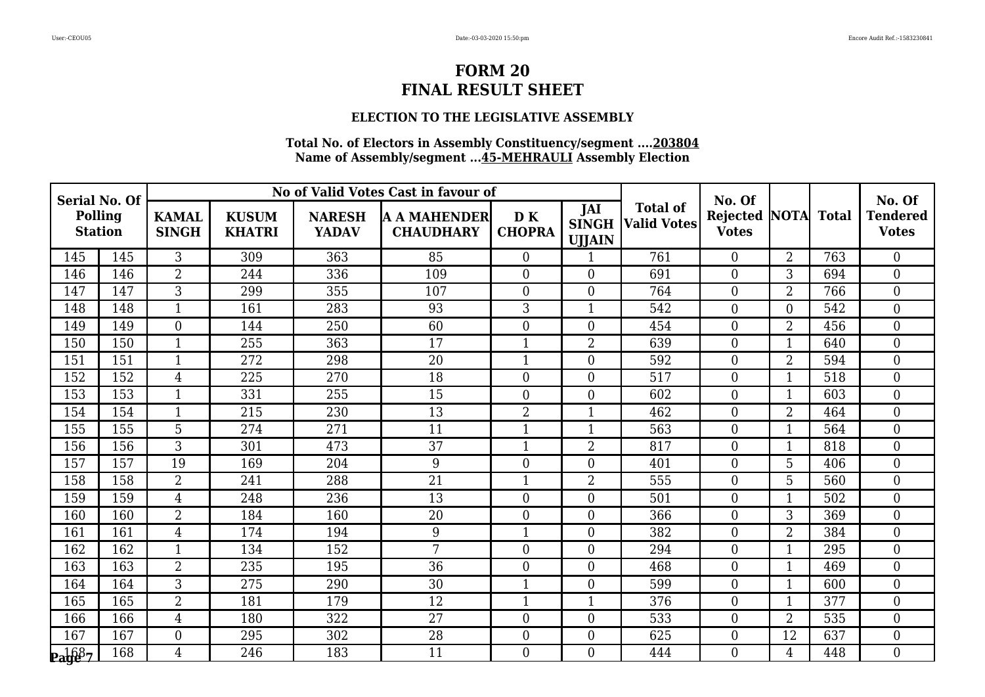## **ELECTION TO THE LEGISLATIVE ASSEMBLY**

| <b>Serial No. Of</b> |                                  |                 |                               |                               | No of Valid Votes Cast in favour of     |                      |                                      |                                       | No. Of                   |                   |     | No. Of                          |
|----------------------|----------------------------------|-----------------|-------------------------------|-------------------------------|-----------------------------------------|----------------------|--------------------------------------|---------------------------------------|--------------------------|-------------------|-----|---------------------------------|
|                      | <b>Polling</b><br><b>Station</b> |                 | <b>KUSUM</b><br><b>KHATRI</b> | <b>NARESH</b><br><b>YADAV</b> | <b>A A MAHENDER</b><br><b>CHAUDHARY</b> | D K<br><b>CHOPRA</b> | JAI<br><b>SINGH</b><br><b>UJJAIN</b> | <b>Total of</b><br><b>Valid Votes</b> | Rejected<br><b>Votes</b> | <b>NOTA</b> Total |     | <b>Tendered</b><br><b>Votes</b> |
| 145                  | 145                              | $\overline{3}$  | 309                           | 363                           | 85                                      | $\overline{0}$       | 1                                    | 761                                   | $\Omega$                 | $\overline{2}$    | 763 | $\theta$                        |
| 146                  | 146                              | $\overline{2}$  | 244                           | 336                           | 109                                     | $\overline{0}$       | $\overline{0}$                       | 691                                   | $\overline{0}$           | 3                 | 694 | $\boldsymbol{0}$                |
| 147                  | 147                              | $\overline{3}$  | 299                           | 355                           | 107                                     | $\overline{0}$       | $\boldsymbol{0}$                     | 764                                   | $\boldsymbol{0}$         | $\overline{2}$    | 766 | $\boldsymbol{0}$                |
| 148                  | 148                              | $\mathbf{1}$    | 161                           | 283                           | 93                                      | 3                    | $\mathbf{1}$                         | 542                                   | $\overline{0}$           | $\overline{0}$    | 542 | $\boldsymbol{0}$                |
| 149                  | 149                              | $\overline{0}$  | 144                           | 250                           | 60                                      | $\overline{0}$       | $\overline{0}$                       | 454                                   | $\overline{0}$           | 2                 | 456 | $\overline{0}$                  |
| 150                  | 150                              | $\mathbf{1}$    | 255                           | 363                           | 17                                      | $\mathbf{1}$         | $\overline{2}$                       | 639                                   | $\overline{0}$           | $\mathbf{1}$      | 640 | $\mathbf{0}$                    |
| 151                  | 151                              | $\mathbf{1}$    | 272                           | 298                           | 20                                      | $\mathbf{1}$         | $\theta$                             | 592                                   | $\overline{0}$           | $\overline{2}$    | 594 | $\overline{0}$                  |
| 152                  | 152                              | $\overline{4}$  | 225                           | 270                           | 18                                      | $\overline{0}$       | $\overline{0}$                       | 517                                   | $\overline{0}$           | $\mathbf{1}$      | 518 | $\boldsymbol{0}$                |
| 153                  | 153                              | $\mathbf{1}$    | 331                           | 255                           | 15                                      | $\overline{0}$       | $\boldsymbol{0}$                     | 602                                   | $\boldsymbol{0}$         | $\mathbf{1}$      | 603 | $\boldsymbol{0}$                |
| 154                  | 154                              | $\mathbf{1}$    | 215                           | 230                           | 13                                      | $\overline{2}$       | $\mathbf{1}$                         | 462                                   | $\overline{0}$           | $\overline{2}$    | 464 | $\overline{0}$                  |
| 155                  | 155                              | $5\phantom{.0}$ | 274                           | 271                           | 11                                      | $\mathbf{1}$         | $\mathbf{1}$                         | 563                                   | $\overline{0}$           | $\mathbf{1}$      | 564 | $\overline{0}$                  |
| 156                  | 156                              | 3               | 301                           | 473                           | 37                                      | $\mathbf{1}$         | $\overline{2}$                       | 817                                   | $\overline{0}$           | $\mathbf{1}$      | 818 | $\boldsymbol{0}$                |
| 157                  | 157                              | 19              | 169                           | 204                           | 9                                       | $\boldsymbol{0}$     | $\overline{0}$                       | 401                                   | $\overline{0}$           | 5                 | 406 | $\boldsymbol{0}$                |
| 158                  | 158                              | 2               | 241                           | 288                           | 21                                      | $\mathbf{1}$         | $\overline{2}$                       | 555                                   | $\overline{0}$           | 5                 | 560 | $\boldsymbol{0}$                |
| 159                  | 159                              | 4               | 248                           | 236                           | 13                                      | $\overline{0}$       | $\overline{0}$                       | 501                                   | $\overline{0}$           | $\mathbf{1}$      | 502 | $\boldsymbol{0}$                |
| 160                  | 160                              | $\overline{2}$  | 184                           | 160                           | 20                                      | $\boldsymbol{0}$     | $\overline{0}$                       | 366                                   | $\overline{0}$           | 3                 | 369 | $\boldsymbol{0}$                |
| 161                  | 161                              | $\overline{4}$  | 174                           | 194                           | 9                                       | $\mathbf{1}$         | $\overline{0}$                       | 382                                   | $\overline{0}$           | 2                 | 384 | $\boldsymbol{0}$                |
| 162                  | 162                              | $\mathbf{1}$    | 134                           | 152                           | $\overline{7}$                          | $\overline{0}$       | $\boldsymbol{0}$                     | 294                                   | $\overline{0}$           | $\mathbf{1}$      | 295 | $\overline{0}$                  |
| 163                  | 163                              | $\overline{2}$  | 235                           | 195                           | 36                                      | $\boldsymbol{0}$     | $\overline{0}$                       | 468                                   | $\overline{0}$           | $\mathbf{1}$      | 469 | $\boldsymbol{0}$                |
| 164                  | 164                              | 3               | 275                           | 290                           | 30                                      | $\mathbf{1}$         | $\overline{0}$                       | 599                                   | $\overline{0}$           | $\mathbf{1}$      | 600 | $\boldsymbol{0}$                |
| 165                  | 165                              | $\overline{2}$  | 181                           | 179                           | 12                                      | $\mathbf{1}$         | $\mathbf{1}$                         | 376                                   | $\theta$                 | $\mathbf{1}$      | 377 | $\theta$                        |
| 166                  | 166                              | $\overline{4}$  | 180                           | 322                           | 27                                      | $\boldsymbol{0}$     | $\boldsymbol{0}$                     | 533                                   | $\overline{0}$           | 2                 | 535 | $\boldsymbol{0}$                |
| 167                  | 167                              | $\overline{0}$  | 295                           | 302                           | 28                                      | $\overline{0}$       | $\boldsymbol{0}$                     | 625                                   | $\overline{0}$           | 12                | 637 | $\boldsymbol{0}$                |
| $\mathbf{p_1}$ 687   | 168                              | $\overline{4}$  | 246                           | 183                           | 11                                      | $\overline{0}$       | $\theta$                             | 444                                   | $\Omega$                 | $\overline{4}$    | 448 | $\overline{0}$                  |